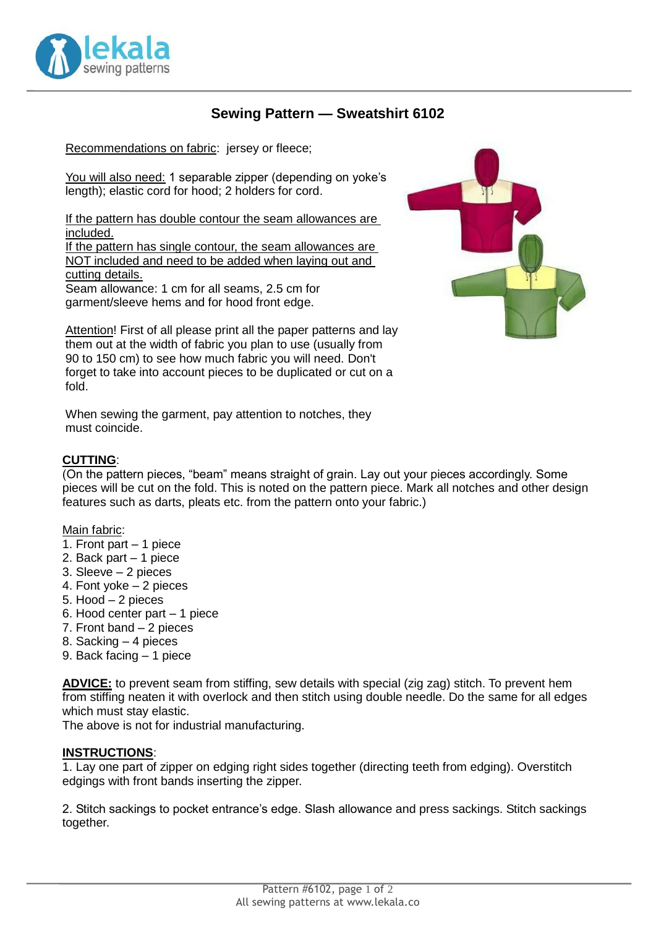

# **Sewing Pattern — Sweatshirt 6102**

Recommendations on fabric: jersey or fleece;

You will also need: 1 separable zipper (depending on yoke's length); elastic cord for hood; 2 holders for cord.

If the pattern has double contour the seam allowances are included.

If the pattern has single contour, the seam allowances are NOT included and need to be added when laying out and cutting details. Seam allowance: 1 cm for all seams, 2.5 cm for

garment/sleeve hems and for hood front edge.

Attention! First of all please print all the paper patterns and lay them out at the width of fabric you plan to use (usually from 90 to 150 cm) to see how much fabric you will need. Don't forget to take into account pieces to be duplicated or cut on a fold.

When sewing the garment, pay attention to notches, they must coincide.

### **CUTTING**:

(On the pattern pieces, "beam" means straight of grain. Lay out your pieces accordingly. Some pieces will be cut on the fold. This is noted on the pattern piece. Mark all notches and other design features such as darts, pleats etc. from the pattern onto your fabric.)

#### Main fabric:

- 1. Front part 1 piece
- 2. Back part 1 piece
- 3. Sleeve 2 pieces
- 4. Font yoke 2 pieces
- 5. Hood 2 pieces
- 6. Hood center part 1 piece
- 7. Front band 2 pieces
- 8. Sacking 4 pieces
- 9. Back facing 1 piece

**ADVICE:** to prevent seam from stiffing, sew details with special (zig zag) stitch. To prevent hem from stiffing neaten it with overlock and then stitch using double needle. Do the same for all edges which must stay elastic.

The above is not for industrial manufacturing.

#### **INSTRUCTIONS**:

1. Lay one part of zipper on edging right sides together (directing teeth from edging). Overstitch edgings with front bands inserting the zipper.

2. Stitch sackings to pocket entrance's edge. Slash allowance and press sackings. Stitch sackings together.